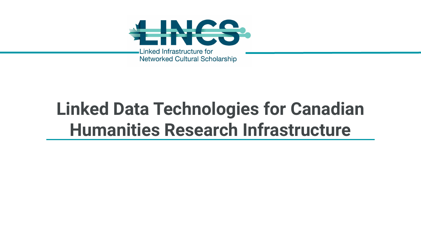

## **Linked Data Technologies for Canadian Humanities Research Infrastructure**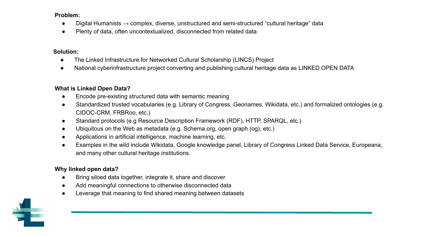#### **Problem:**

- Digital Humanists  $\rightarrow$  complex, diverse, unstructured and semi-structured "cultural heritage" data
- Plenty of data, often uncontextualized, disconnected from related data

#### **Solution:**

- The Linked Infrastructure for Networked Cultural Scholarship (LINCS) Project
- National cyberinfrastructure project converting and publishing cultural heritage data as LINKED OPEN DATA

## **What is Linked Open Data?**

- Encode pre-existing structured data with semantic meaning
- Standardized trusted vocabularies (e.g. Library of Congress, Geonames, Wikidata, etc.) and formalized ontologies (e.g. CIDOC-CRM, FRBRoo, etc.)
- Standard protocols (e.g Resource Description Framework (RDF), HTTP, SPARQL, etc.)
- Ubiquitous on the Web as metadata (e.g. Schema.org, open graph (og), etc.)
- Applications in artificial intelligence, machine learning, etc.
- Examples in the wild include Wikidata, Google knowledge panel, Library of Congress Linked Data Service, Europeana, and many other cultural heritage institutions.

## **Why linked open data?**

- Bring siloed data together, integrate it, share and discover
- Add meaningful connections to otherwise disconnected data
- Leverage that meaning to find shared meaning between datasets

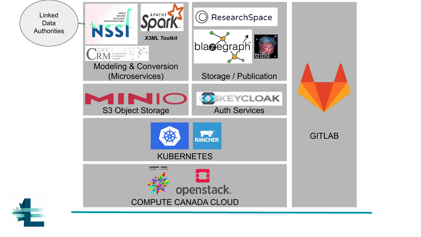